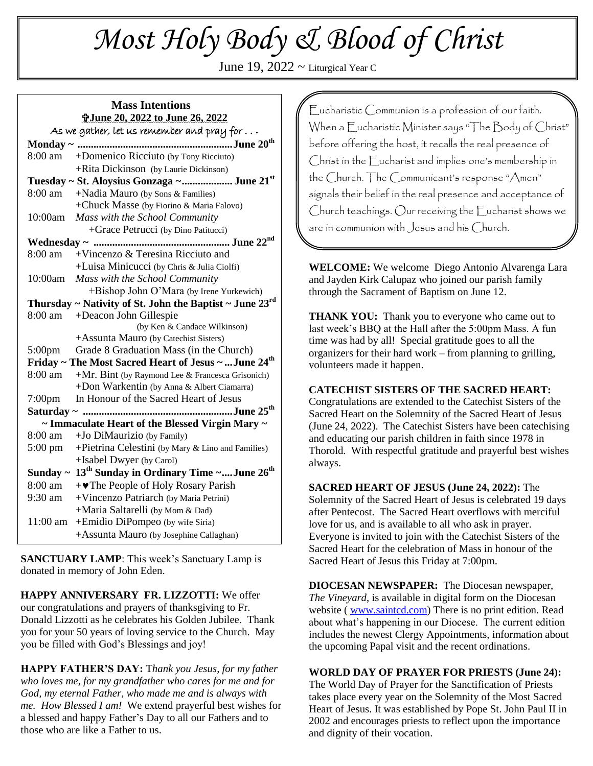# *Most Holy Body & Blood of Christ*

June 19,  $2022 \sim$  Liturgical Year C

#### **Mass Intentions June 20, 2022 to June 26, 2022** As we gather, let us remember and pray for . . **.**

|                                                                  | ີ                                                                        |
|------------------------------------------------------------------|--------------------------------------------------------------------------|
|                                                                  | 8:00 am +Domenico Ricciuto (by Tony Ricciuto)                            |
|                                                                  | +Rita Dickinson (by Laurie Dickinson)                                    |
| Tuesday ~ St. Aloysius Gonzaga ~ June 21st                       |                                                                          |
| 8:00 am                                                          | +Nadia Mauro (by Sons & Families)                                        |
|                                                                  | +Chuck Masse (by Fiorino & Maria Falovo)                                 |
| 10:00am                                                          | Mass with the School Community                                           |
|                                                                  | +Grace Petrucci (by Dino Patitucci)                                      |
|                                                                  |                                                                          |
| 8:00 am                                                          | $+V$ incenzo & Teresina Ricciuto and                                     |
|                                                                  | +Luisa Minicucci (by Chris & Julia Ciolfi)                               |
|                                                                  | 10:00am Mass with the School Community                                   |
|                                                                  | +Bishop John O'Mara (by Irene Yurkewich)                                 |
|                                                                  | Thursday ~ Nativity of St. John the Baptist ~ June $23^{\text{rd}}$      |
| 8:00 am                                                          | +Deacon John Gillespie                                                   |
|                                                                  | (by Ken & Candace Wilkinson)                                             |
|                                                                  | +Assunta Mauro (by Catechist Sisters)                                    |
|                                                                  | 5:00pm Grade 8 Graduation Mass (in the Church)                           |
| Friday ~ The Most Sacred Heart of Jesus ~  June 24 <sup>th</sup> |                                                                          |
| 8:00 am                                                          | $+Mr$ . Bint (by Raymond Lee & Francesca Grisonich)                      |
|                                                                  | +Don Warkentin (by Anna & Albert Ciamarra)                               |
| $7:00 \text{pm}$                                                 | In Honour of the Sacred Heart of Jesus                                   |
|                                                                  |                                                                          |
|                                                                  | ~ Immaculate Heart of the Blessed Virgin Mary ~                          |
| $8:00 \text{ am}$                                                | +Jo DiMaurizio (by Family)                                               |
| $5:00 \text{ pm}$                                                | +Pietrina Celestini (by Mary & Lino and Families)                        |
|                                                                  | +Isabel Dwyer (by Carol)                                                 |
|                                                                  | Sunday ~ 13 <sup>th</sup> Sunday in Ordinary Time ~June 26 <sup>th</sup> |
| 8:00 am                                                          | + The People of Holy Rosary Parish                                       |
| 9:30 am                                                          | +Vincenzo Patriarch (by Maria Petrini)                                   |
|                                                                  | +Maria Saltarelli (by Mom & Dad)                                         |
| $11:00$ am                                                       | +Emidio DiPompeo (by wife Siria)                                         |
|                                                                  | +Assunta Mauro (by Josephine Callaghan)                                  |

**SANCTUARY LAMP**: This week's Sanctuary Lamp is donated in memory of John Eden.

**HAPPY ANNIVERSARY FR. LIZZOTTI:** We offer our congratulations and prayers of thanksgiving to Fr. Donald Lizzotti as he celebrates his Golden Jubilee. Thank you for your 50 years of loving service to the Church. May you be filled with God's Blessings and joy!

**HAPPY FATHER'S DAY:** T*hank you Jesus, for my father who loves me, for my grandfather who cares for me and for God, my eternal Father, who made me and is always with me. How Blessed I am!* We extend prayerful best wishes for a blessed and happy Father's Day to all our Fathers and to those who are like a Father to us.

Eucharistic Communion is a profession of our faith. When a Eucharistic Minister says "The Body of Christ" before offering the host, it recalls the real presence of Christ in the Eucharist and implies one's membership in the Church. The Communicant's response "Amen" signals their belief in the real presence and acceptance of Church teachings. Our receiving the Eucharist shows we are in communion with Jesus and his Church.

**WELCOME:** We welcome Diego Antonio Alvarenga Lara and Jayden Kirk Calupaz who joined our parish family through the Sacrament of Baptism on June 12.

**THANK YOU:** Thank you to everyone who came out to last week's BBQ at the Hall after the 5:00pm Mass. A fun time was had by all! Special gratitude goes to all the organizers for their hard work – from planning to grilling, volunteers made it happen.

#### **CATECHIST SISTERS OF THE SACRED HEART:**

Congratulations are extended to the Catechist Sisters of the Sacred Heart on the Solemnity of the Sacred Heart of Jesus (June 24, 2022). The Catechist Sisters have been catechising and educating our parish children in faith since 1978 in Thorold. With respectful gratitude and prayerful best wishes always.

**SACRED HEART OF JESUS (June 24, 2022):** The Solemnity of the Sacred Heart of Jesus is celebrated 19 days after Pentecost. The Sacred Heart overflows with merciful love for us, and is available to all who ask in prayer. Everyone is invited to join with the Catechist Sisters of the Sacred Heart for the celebration of Mass in honour of the Sacred Heart of Jesus this Friday at 7:00pm.

**DIOCESAN NEWSPAPER:** The Diocesan newspaper, *The Vineyard*, is available in digital form on the Diocesan website ( [www.saintcd.com\)](http://www.saintcd.com/) There is no print edition. Read about what's happening in our Diocese. The current edition includes the newest Clergy Appointments, information about the upcoming Papal visit and the recent ordinations.

**WORLD DAY OF PRAYER FOR PRIESTS (June 24):** The World Day of Prayer for the Sanctification of Priests takes place every year on the Solemnity of the Most Sacred Heart of Jesus. It was established by Pope St. John Paul II in 2002 and encourages priests to reflect upon the importance and dignity of their vocation.